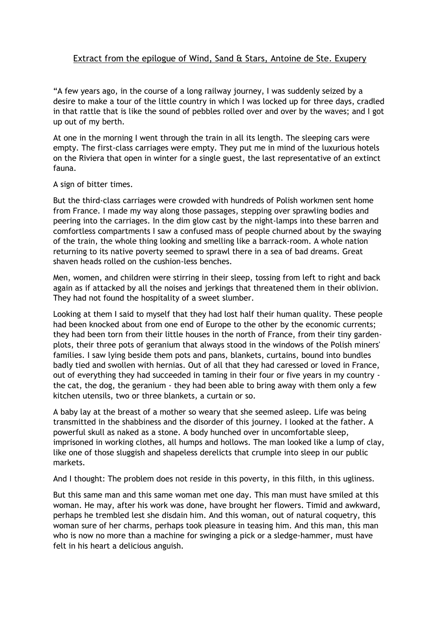## Extract from the epilogue of Wind, Sand & Stars, Antoine de Ste. Exupery

"A few years ago, in the course of a long railway journey, I was suddenly seized by a desire to make a tour of the little country in which I was locked up for three days, cradled in that rattle that is like the sound of pebbles rolled over and over by the waves; and I got up out of my berth.

At one in the morning I went through the train in all its length. The sleeping cars were empty. The first-class carriages were empty. They put me in mind of the luxurious hotels on the Riviera that open in winter for a single guest, the last representative of an extinct fauna.

## A sign of bitter times.

But the third-class carriages were crowded with hundreds of Polish workmen sent home from France. I made my way along those passages, stepping over sprawling bodies and peering into the carriages. In the dim glow cast by the night-lamps into these barren and comfortless compartments I saw a confused mass of people churned about by the swaying of the train, the whole thing looking and smelling like a barrack-room. A whole nation returning to its native poverty seemed to sprawl there in a sea of bad dreams. Great shaven heads rolled on the cushion-less benches.

Men, women, and children were stirring in their sleep, tossing from left to right and back again as if attacked by all the noises and jerkings that threatened them in their oblivion. They had not found the hospitality of a sweet slumber.

Looking at them I said to myself that they had lost half their human quality. These people had been knocked about from one end of Europe to the other by the economic currents; they had been torn from their little houses in the north of France, from their tiny gardenplots, their three pots of geranium that always stood in the windows of the Polish miners' families. I saw lying beside them pots and pans, blankets, curtains, bound into bundles badly tied and swollen with hernias. Out of all that they had caressed or loved in France, out of everything they had succeeded in taming in their four or five years in my country the cat, the dog, the geranium - they had been able to bring away with them only a few kitchen utensils, two or three blankets, a curtain or so.

A baby lay at the breast of a mother so weary that she seemed asleep. Life was being transmitted in the shabbiness and the disorder of this journey. I looked at the father. A powerful skull as naked as a stone. A body hunched over in uncomfortable sleep, imprisoned in working clothes, all humps and hollows. The man looked like a lump of clay, like one of those sluggish and shapeless derelicts that crumple into sleep in our public markets.

And I thought: The problem does not reside in this poverty, in this filth, in this ugliness.

But this same man and this same woman met one day. This man must have smiled at this woman. He may, after his work was done, have brought her flowers. Timid and awkward, perhaps he trembled lest she disdain him. And this woman, out of natural coquetry, this woman sure of her charms, perhaps took pleasure in teasing him. And this man, this man who is now no more than a machine for swinging a pick or a sledge-hammer, must have felt in his heart a delicious anguish.